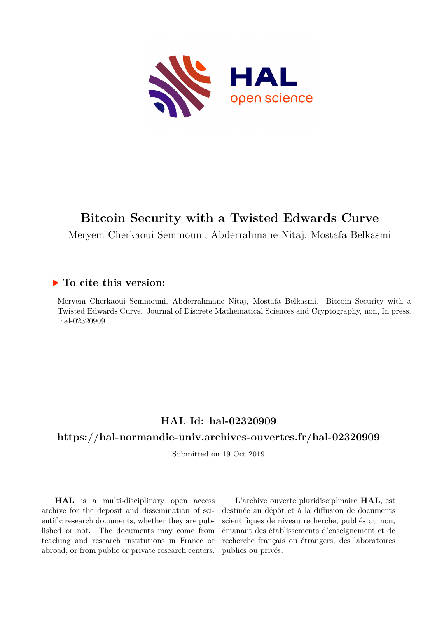

# **Bitcoin Security with a Twisted Edwards Curve**

Meryem Cherkaoui Semmouni, Abderrahmane Nitaj, Mostafa Belkasmi

## **To cite this version:**

Meryem Cherkaoui Semmouni, Abderrahmane Nitaj, Mostafa Belkasmi. Bitcoin Security with a Twisted Edwards Curve. Journal of Discrete Mathematical Sciences and Cryptography, non, In press. hal-02320909

## **HAL Id: hal-02320909**

## **<https://hal-normandie-univ.archives-ouvertes.fr/hal-02320909>**

Submitted on 19 Oct 2019

**HAL** is a multi-disciplinary open access archive for the deposit and dissemination of scientific research documents, whether they are published or not. The documents may come from teaching and research institutions in France or abroad, or from public or private research centers.

L'archive ouverte pluridisciplinaire **HAL**, est destinée au dépôt et à la diffusion de documents scientifiques de niveau recherche, publiés ou non, émanant des établissements d'enseignement et de recherche français ou étrangers, des laboratoires publics ou privés.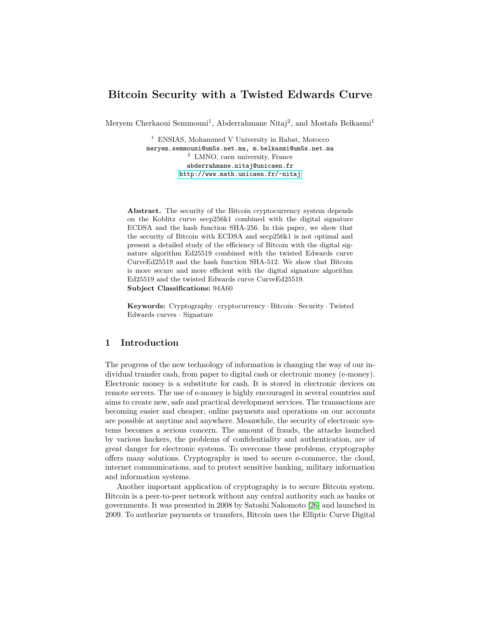## **Bitcoin Security with a Twisted Edwards Curve**

Meryem Cherkaoui Semmouni<sup>1</sup>, Abderrahmane Nitaj<sup>2</sup>, and Mostafa Belkasmi<sup>1</sup>

<sup>1</sup> ENSIAS, Mohammed V University in Rabat, Morocco meryem.semmouni@um5s.net.ma, m.belkasmi@um5s.net.ma <sup>2</sup> LMNO, caen university, France abderrahmane.nitaj@unicaen.fr [http://www.math.unicaen.fr/~nitaj](http://www.math.unicaen.fr/~nitaj )

**Abstract.** The security of the Bitcoin cryptocurrency system depends on the Koblitz curve secp256k1 combined with the digital signature ECDSA and the hash function SHA-256. In this paper, we show that the security of Bitcoin with ECDSA and secp256k1 is not optimal and present a detailed study of the efficiency of Bitcoin with the digital signature algorithm Ed25519 combined with the twisted Edwards curve CurveEd25519 and the hash function SHA-512. We show that Bitcoin is more secure and more efficient with the digital signature algorithm Ed25519 and the twisted Edwards curve CurveEd25519. **Subject Classifications:** 94A60

**Keywords:** Cryptography · cryptocurrency · Bitcoin · Security · Twisted

### **1 Introduction**

Edwards curves · Signature

The progress of the new technology of information is changing the way of our individual transfer cash, from paper to digital cash or electronic money (e-money). Electronic money is a substitute for cash. It is stored in electronic devices on remote servers. The use of e-money is highly encouraged in several countries and aims to create new, safe and practical development services. The transactions are becoming easier and cheaper, online payments and operations on our accounts are possible at anytime and anywhere. Meanwhile, the security of electronic systems becomes a serious concern. The amount of frauds, the attacks launched by various hackers, the problems of confidentiality and authentication, are of great danger for electronic systems. To overcome these problems, cryptography offers many solutions. Cryptography is used to secure e-commerce, the cloud, internet communications, and to protect sensitive banking, military information and information systems.

Another important application of cryptography is to secure Bitcoin system. Bitcoin is a peer-to-peer network without any central authority such as banks or governments. It was presented in 2008 by Satoshi Nakomoto [26] and launched in 2009. To authorize payments or transfers, Bitcoin uses the Elliptic Curve Digital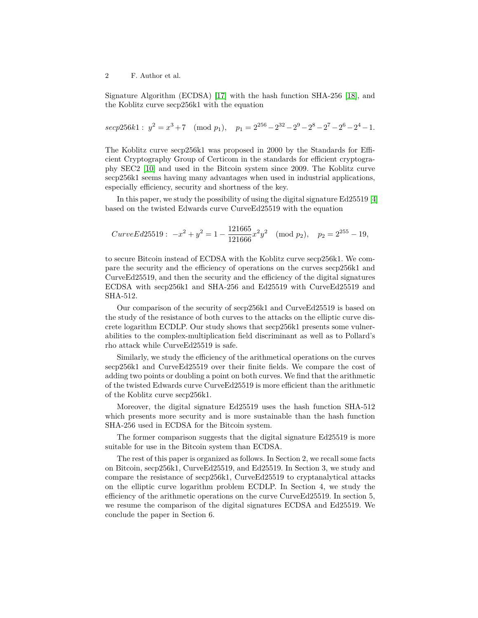Signature Algorithm (ECDSA) [17] with the hash function SHA-256 [18], and the Koblitz curve secp256k1 with the equation

$$
secp256k1:
$$
  $y^2 = x^3 + 7 \pmod{p_1}, p_1 = 2^{256} - 2^{32} - 2^9 - 2^8 - 2^7 - 2^6 - 2^4 - 1.$ 

The Koblitz curve secp256k1 was proposed in 2000 by the Standards for Efficient Cryptography Group of Certicom in the standards for efficient cryptography SEC2 [10] and used in the Bitcoin system since 2009. The Koblitz curve secp256k1 seems having many advantages when used in industrial applications, especially efficiency, security and shortness of the key.

In this paper, we study the possibility of using the digital signature Ed25519 [4] based on the twisted Edwards curve CurveEd25519 with the equation

$$
CurveEd25519: -x^2 + y^2 = 1 - \frac{121665}{121666}x^2y^2 \pmod{p_2}, \quad p_2 = 2^{255} - 19,
$$

to secure Bitcoin instead of ECDSA with the Koblitz curve secp256k1. We compare the security and the efficiency of operations on the curves secp256k1 and CurveEd25519, and then the security and the efficiency of the digital signatures ECDSA with secp256k1 and SHA-256 and Ed25519 with CurveEd25519 and SHA-512.

Our comparison of the security of secp256k1 and CurveEd25519 is based on the study of the resistance of both curves to the attacks on the elliptic curve discrete logarithm ECDLP. Our study shows that secp256k1 presents some vulnerabilities to the complex-multiplication field discriminant as well as to Pollard's rho attack while CurveEd25519 is safe.

Similarly, we study the efficiency of the arithmetical operations on the curves secp256k1 and CurveEd25519 over their finite fields. We compare the cost of adding two points or doubling a point on both curves. We find that the arithmetic of the twisted Edwards curve CurveEd25519 is more efficient than the arithmetic of the Koblitz curve secp256k1.

Moreover, the digital signature Ed25519 uses the hash function SHA-512 which presents more security and is more sustainable than the hash function SHA-256 used in ECDSA for the Bitcoin system.

The former comparison suggests that the digital signature Ed25519 is more suitable for use in the Bitcoin system than ECDSA.

The rest of this paper is organized as follows. In Section 2, we recall some facts on Bitcoin, secp256k1, CurveEd25519, and Ed25519. In Section 3, we study and compare the resistance of secp256k1, CurveEd25519 to cryptanalytical attacks on the elliptic curve logarithm problem ECDLP. In Section 4, we study the efficiency of the arithmetic operations on the curve CurveEd25519. In section 5, we resume the comparison of the digital signatures ECDSA and Ed25519. We conclude the paper in Section 6.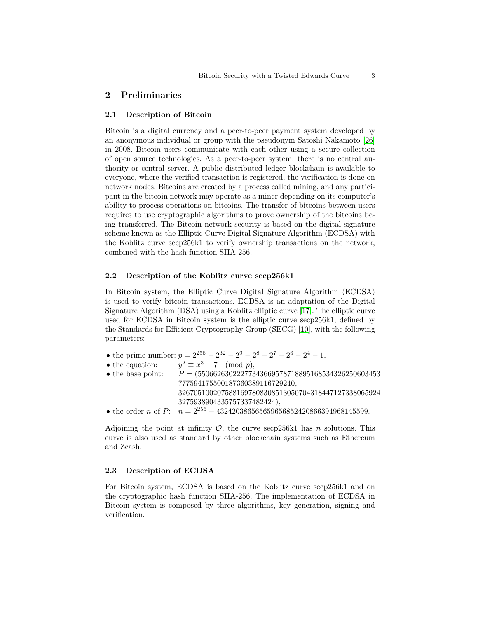#### **2 Preliminaries**

#### **2.1 Description of Bitcoin**

Bitcoin is a digital currency and a peer-to-peer payment system developed by an anonymous individual or group with the pseudonym Satoshi Nakamoto [26] in 2008. Bitcoin users communicate with each other using a secure collection of open source technologies. As a peer-to-peer system, there is no central authority or central server. A public distributed ledger blockchain is available to everyone, where the verified transaction is registered, the verification is done on network nodes. Bitcoins are created by a process called mining, and any participant in the bitcoin network may operate as a miner depending on its computer's ability to process operations on bitcoins. The transfer of bitcoins between users requires to use cryptographic algorithms to prove ownership of the bitcoins being transferred. The Bitcoin network security is based on the digital signature scheme known as the Elliptic Curve Digital Signature Algorithm (ECDSA) with the Koblitz curve secp256k1 to verify ownership transactions on the network, combined with the hash function SHA-256.

#### **2.2 Description of the Koblitz curve secp256k1**

In Bitcoin system, the Elliptic Curve Digital Signature Algorithm (ECDSA) is used to verify bitcoin transactions. ECDSA is an adaptation of the Digital Signature Algorithm (DSA) using a Koblitz elliptic curve [17]. The elliptic curve used for ECDSA in Bitcoin system is the elliptic curve secp256k1, defined by the Standards for Efficient Cryptography Group (SECG) [10], with the following parameters:

- the prime number:  $p = 2^{256} 2^{32} 2^9 2^8 2^7 2^6 2^4 1$ ,
- the equation:  $x^2 \equiv x^3 + 7 \pmod{p},$

| $\bullet$ the base point: | $P = (55066263022277343669578718895168534326250603453$                        |
|---------------------------|-------------------------------------------------------------------------------|
|                           | 777594175500187360389116729240.                                               |
|                           | 3267051002075881697808308513050704318447127338065924                          |
|                           | 3275938904335757337482424),                                                   |
|                           | • the order n of P: $n = 2^{256} - 432420386565659656852420866394968145599$ . |

Adjoining the point at infinity O, the curve secp256k1 has *n* solutions. This curve is also used as standard by other blockchain systems such as Ethereum and Zcash.

#### **2.3 Description of ECDSA**

For Bitcoin system, ECDSA is based on the Koblitz curve secp256k1 and on the cryptographic hash function SHA-256. The implementation of ECDSA in Bitcoin system is composed by three algorithms, key generation, signing and verification.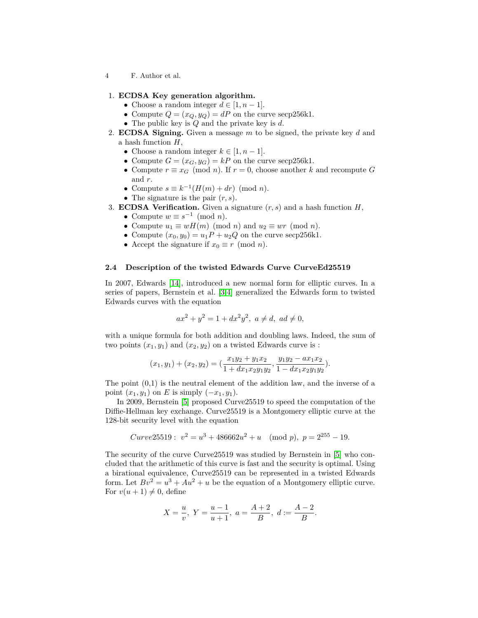#### 1. **ECDSA Key generation algorithm.**

- Choose a random integer  $d \in [1, n-1]$ .
- Compute  $Q = (x_Q, y_Q) = dP$  on the curve secp256k1.
- The public key is *Q* and the private key is *d*.
- 2. **ECDSA Signing.** Given a message *m* to be signed, the private key *d* and a hash function *H*,
	- Choose a random integer  $k \in [1, n-1]$ .
	- Compute  $G = (x_G, y_G) = kP$  on the curve secp256k1.
	- Compute  $r \equiv x_G \pmod{n}$ . If  $r = 0$ , choose another *k* and recompute *G* and *r*.
	- Compute  $s \equiv k^{-1}(H(m) + dr) \pmod{n}$ .
	- The signature is the pair (*r, s*).

3. ECDSA Verification. Given a signature 
$$
(r, s)
$$
 and a hash function  $H$ ,

- Compute  $w \equiv s^{-1} \pmod{n}$ .
- Compute  $u_1 \equiv wH(m) \pmod{n}$  and  $u_2 \equiv wr \pmod{n}$ .
- Compute  $(x_0, y_0) = u_1 P + u_2 Q$  on the curve secp256k1.
- Accept the signature if  $x_0 \equiv r \pmod{n}$ .

#### **2.4 Description of the twisted Edwards Curve CurveEd25519**

In 2007, Edwards [14], introduced a new normal form for elliptic curves. In a series of papers, Bernstein et al. [3,4] generalized the Edwards form to twisted Edwards curves with the equation

$$
ax^2 + y^2 = 1 + dx^2y^2
$$
,  $a \neq d$ ,  $ad \neq 0$ ,

with a unique formula for both addition and doubling laws. Indeed, the sum of two points  $(x_1, y_1)$  and  $(x_2, y_2)$  on a twisted Edwards curve is :

$$
(x_1, y_1) + (x_2, y_2) = \left(\frac{x_1y_2 + y_1x_2}{1 + dx_1x_2y_1y_2}, \frac{y_1y_2 - ax_1x_2}{1 - dx_1x_2y_1y_2}\right).
$$

The point  $(0,1)$  is the neutral element of the addition law, and the inverse of a point  $(x_1, y_1)$  on *E* is simply  $(-x_1, y_1)$ .

In 2009, Bernstein [5] proposed Curve25519 to speed the computation of the Diffie-Hellman key exchange. Curve25519 is a Montgomery elliptic curve at the 128-bit security level with the equation

$$
Curve25519: v^2 = u^3 + 486662u^2 + u \pmod{p}, p = 2^{255} - 19.
$$

The security of the curve Curve25519 was studied by Bernstein in [5] who concluded that the arithmetic of this curve is fast and the security is optimal. Using a birational equivalence, Curve25519 can be represented in a twisted Edwards form. Let  $Bv^2 = u^3 + Au^2 + u$  be the equation of a Montgomery elliptic curve. For  $v(u + 1) \neq 0$ , define

$$
X = \frac{u}{v}, \ Y = \frac{u-1}{u+1}, \ a = \frac{A+2}{B}, \ d := \frac{A-2}{B}.
$$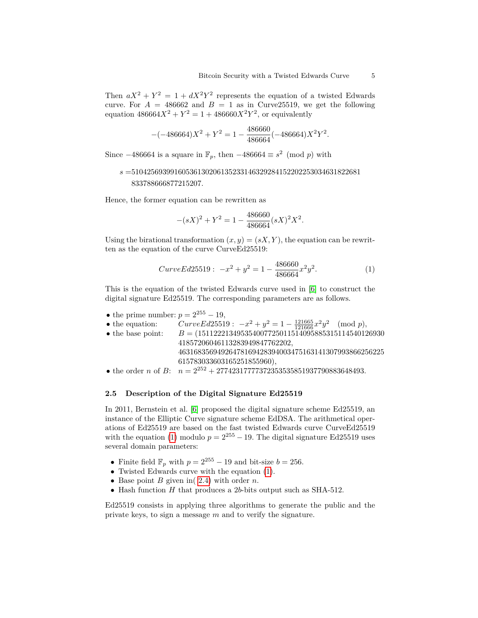Then  $aX^2 + Y^2 = 1 + dX^2Y^2$  represents the equation of a twisted Edwards curve. For  $A = 486662$  and  $B = 1$  as in Curve 25519, we get the following equation  $486664X^2 + Y^2 = 1 + 486660X^2Y^2$ , or equivalently

$$
-(-486664)X^2 + Y^2 = 1 - \frac{486660}{486664}(-486664)X^2Y^2.
$$

Since  $-486664$  is a square in  $\mathbb{F}_p$ , then  $-486664 \equiv s^2 \pmod{p}$  with

## *s* =51042569399160536130206135233146329284152202253034631822681 833788666877215207*.*

Hence, the former equation can be rewritten as

$$
-(sX)^2 + Y^2 = 1 - \frac{486660}{486664}(sX)^2X^2.
$$

Using the birational transformation  $(x, y) = (sX, Y)$ , the equation can be rewritten as the equation of the curve CurveEd25519:

$$
CurveEd25519: \ -x^2 + y^2 = 1 - \frac{486660}{486664} x^2 y^2. \tag{1}
$$

This is the equation of the twisted Edwards curve used in [6] to construct the digital signature Ed25519. The corresponding parameters are as follows.

• the prime number:  $p = 2^{255} - 19$ ,

• the equation:  $CurveEd25519: -x^2 + y^2 = 1 - \frac{121665}{121666}x^2y^2 \pmod{p}$ ,

- the base point:  $B = (151122213495354007725011514095885315114540126930$ 41857206046113283949847762202, 46316835694926478169428394003475163141307993866256225 615783033603165251855960),
- the order *n* of *B*:  $n = 2^{252} + 27742317777372353535851937790883648493$ .

#### **2.5 Description of the Digital Signature Ed25519**

In 2011, Bernstein et al. [6] proposed the digital signature scheme Ed25519, an instance of the Elliptic Curve signature scheme EdDSA. The arithmetical operations of Ed25519 are based on the fast twisted Edwards curve CurveEd25519 with the equation (1) modulo  $p = 2^{255} - 19$ . The digital signature Ed25519 uses several domain parameters:

- Finite field  $\mathbb{F}_p$  with  $p = 2^{255} 19$  and bit-size  $b = 256$ .
- Twisted Edwards curve with the equation (1).
- Base point *B* given in( 2.4) with order *n*.
- Hash function *H* that produces a 2*b*-bits output such as SHA-512.

Ed25519 consists in applying three algorithms to generate the public and the private keys, to sign a message *m* and to verify the signature.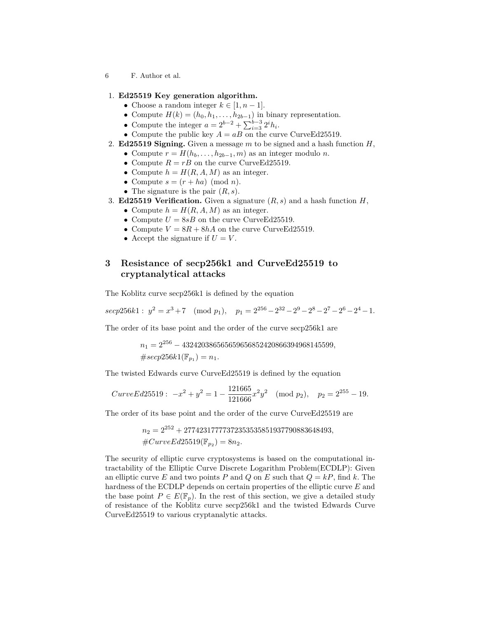#### 1. **Ed25519 Key generation algorithm.**

- Choose a random integer  $k \in [1, n-1]$ .
- Compute  $H(k) = (h_0, h_1, \ldots, h_{2b-1})$  in binary representation.
- Compute the integer  $a = 2^{b-2} + \sum_{i=3}^{b-3} 2^i h_i$ .
- Compute the public key  $A = aB$  on the curve CurveEd25519.
- 2. **Ed25519 Signing.** Given a message *m* to be signed and a hash function *H*,
	- Compute  $r = H(h_b, \ldots, h_{2b-1}, m)$  as an integer modulo *n*.
	- Compute  $R = rB$  on the curve CurveEd25519.
	- Compute  $h = H(R, A, M)$  as an integer.
	- Compute  $s = (r + ha) \pmod{n}$ .
	- The signature is the pair (*R, s*).

#### 3. **Ed25519 Verification.** Given a signature  $(R, s)$  and a hash function  $H$ ,

- Compute  $h = H(R, A, M)$  as an integer.
- Compute  $U = 8sB$  on the curve Curve Ed 25519.
- Compute  $V = 8R + 8hA$  on the curve Curve Ed25519.
- Accept the signature if  $U = V$ .

## **3 Resistance of secp256k1 and CurveEd25519 to cryptanalytical attacks**

The Koblitz curve secp256k1 is defined by the equation

 $\sec p256k1: y^2 = x^3 + 7 \pmod{p_1}, \quad p_1 = 2^{256} - 2^{32} - 2^9 - 2^8 - 2^7 - 2^6 - 2^4 - 1.$ 

The order of its base point and the order of the curve secp256k1 are

*n*<sup>1</sup> = 2<sup>256</sup> − 432420386565659656852420866394968145599*,*  $\# \text{seep256k1}(\mathbb{F}_{p_1}) = n_1.$ 

The twisted Edwards curve CurveEd25519 is defined by the equation

$$
CurveEd25519: -x^2 + y^2 = 1 - \frac{121665}{121666}x^2y^2 \pmod{p_2}, \quad p_2 = 2^{255} - 19.
$$

The order of its base point and the order of the curve CurveEd25519 are

$$
n_2 = 2^{252} + 27742317777372353535851937790883648493,
$$
  

$$
#CurveEd25519(\mathbb{F}_{p_2}) = 8n_2.
$$

The security of elliptic curve cryptosystems is based on the computational intractability of the Elliptic Curve Discrete Logarithm Problem(ECDLP): Given an elliptic curve E and two points P and Q on E such that  $Q = kP$ , find k. The hardness of the ECDLP depends on certain properties of the elliptic curve *E* and the base point  $P \in E(\mathbb{F}_p)$ . In the rest of this section, we give a detailed study of resistance of the Koblitz curve secp256k1 and the twisted Edwards Curve CurveEd25519 to various cryptanalytic attacks.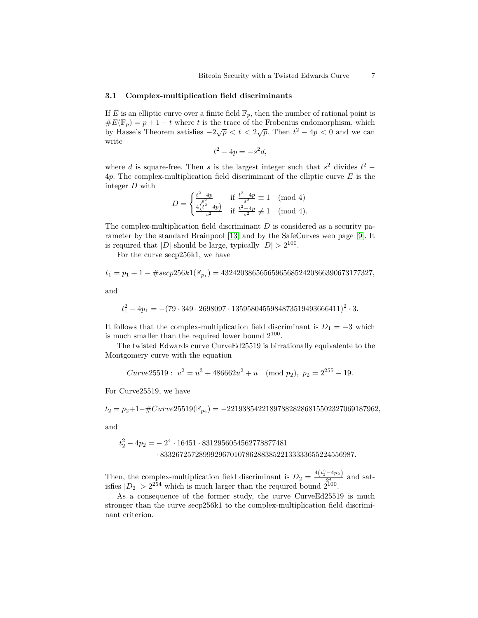### **3.1 Complex-multiplication field discriminants**

If *E* is an elliptic curve over a finite field  $\mathbb{F}_p$ , then the number of rational point is  $\#E(\mathbb{F}_p) = p + 1 - t$  where *t* is the trace of the Frobenius endomorphism, which  $\partial_t P(x|p) = p+1-t$  where t is the trace of the Frobenius endomorphism, which by Hasse's Theorem satisfies  $-2\sqrt{p} < t < 2\sqrt{p}$ . Then  $t^2 - 4p < 0$  and we can write

$$
t^2 - 4p = -s^2d,
$$

where *d* is square-free. Then *s* is the largest integer such that  $s^2$  divides  $t^2$  – 4*p*. The complex-multiplication field discriminant of the elliptic curve *E* is the integer *D* with

$$
D = \begin{cases} \frac{t^2 - 4p}{s^2} & \text{if } \frac{t^2 - 4p}{s^2} \equiv 1 \pmod{4} \\ \frac{4(t^2 - 4p)}{s^2} & \text{if } \frac{t^2 - 4p}{s^2} \not\equiv 1 \pmod{4}. \end{cases}
$$

The complex-multiplication field discriminant *D* is considered as a security parameter by the standard Brainpool [13] and by the SafeCurves web page [9]. It is required that  $|D|$  should be large, typically  $|D| > 2^{100}$ .

For the curve secp256k1, we have

$$
t_1=p_1+1-\# seep256k1(\mathbb{F}_{p_1})=432420386565659656852420866390673177327,
$$

and

$$
t_1^2 - 4p_1 = -(79 \cdot 349 \cdot 2698097 \cdot 1359580455984873519493666411)^2 \cdot 3.
$$

It follows that the complex-multiplication field discriminant is  $D_1 = -3$  which is much smaller than the required lower bound  $2^{100}$ .

The twisted Edwards curve CurveEd25519 is birrationally equivalente to the Montgomery curve with the equation

$$
Curve25519: v^2 = u^3 + 486662u^2 + u \pmod{p_2}, p_2 = 2^{255} - 19.
$$

For Curve25519, we have

*t*<sup>2</sup> = *p*2+1−#*Curve*25519(F*p*<sup>2</sup> ) = −221938542218978828286815502327069187962*,*

and

$$
t_2^2 - 4p_2 = -2^4 \cdot 16451 \cdot 8312956054562778877481
$$
  
• 83326725728999296701078628838522133333655224556987.

Then, the complex-multiplication field discriminant is  $D_2 = \frac{4(t_2^2 - 4p_2)}{24}$  $\frac{4p_2}{24}$  and satisfies  $|D_2| > 2^{254}$  which is much larger than the required bound  $2^{100}$ .

As a consequence of the former study, the curve CurveEd25519 is much stronger than the curve secp256k1 to the complex-multiplication field discriminant criterion.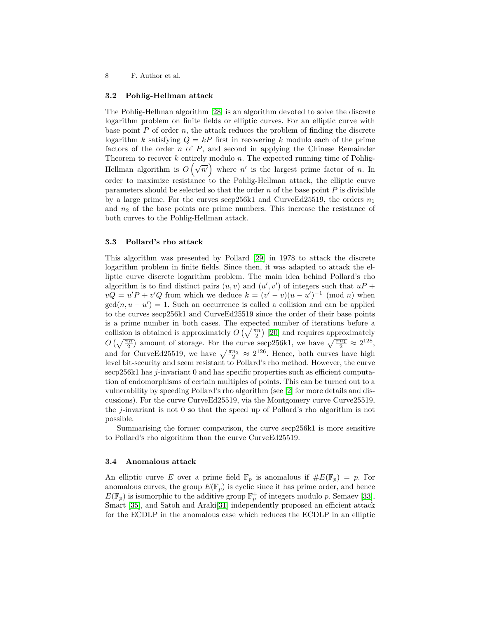#### **3.2 Pohlig-Hellman attack**

The Pohlig-Hellman algorithm [28] is an algorithm devoted to solve the discrete logarithm problem on finite fields or elliptic curves. For an elliptic curve with base point  $P$  of order  $n$ , the attack reduces the problem of finding the discrete logarithm *k* satisfying  $Q = kP$  first in recovering *k* modulo each of the prime factors of the order *n* of *P*, and second in applying the Chinese Remainder Theorem to recover *k* entirely modulo *n*. The expected running time of Pohlig-Hellman algorithm is  $O(\sqrt{n'})$  where *n'* is the largest prime factor of *n*. In order to maximize resistance to the Pohlig-Hellman attack, the elliptic curve parameters should be selected so that the order  $n$  of the base point  $P$  is divisible by a large prime. For the curves  $\text{see } 256k1$  and CurveEd25519, the orders  $n_1$ and  $n_2$  of the base points are prime numbers. This increase the resistance of both curves to the Pohlig-Hellman attack.

#### **3.3 Pollard's rho attack**

This algorithm was presented by Pollard [29] in 1978 to attack the discrete logarithm problem in finite fields. Since then, it was adapted to attack the elliptic curve discrete logarithm problem. The main idea behind Pollard's rho algorithm is to find distinct pairs  $(u, v)$  and  $(u', v')$  of integers such that  $uP +$  $vQ = u'P + v'Q$  from which we deduce  $k = (v' - v)(u - u')^{-1}$  (mod *n*) when  $gcd(n, u - u') = 1$ . Such an occurrence is called a collision and can be applied to the curves secp256k1 and CurveEd25519 since the order of their base points is a prime number in both cases. The expected number of iterations before a collision is obtained is approximately  $O\left(\sqrt{\frac{\pi n}{2}}\right)$  [20] and requires approximately  $O\left(\sqrt{\frac{\pi n}{2}}\right)$  amount of storage. For the curve secp256k1, we have  $\sqrt{\frac{\pi n_1}{2}} \approx 2^{128}$ , and for CurveEd25519, we have  $\sqrt{\frac{\pi n_2}{2}} \approx 2^{126}$ . Hence, both curves have high level bit-security and seem resistant to Pollard's rho method. However, the curve secp256k1 has *j*-invariant 0 and has specific properties such as efficient computation of endomorphisms of certain multiples of points. This can be turned out to a vulnerability by speeding Pollard's rho algorithm (see [2] for more details and discussions). For the curve CurveEd25519, via the Montgomery curve Curve25519, the *j*-invariant is not 0 so that the speed up of Pollard's rho algorithm is not possible.

Summarising the former comparison, the curve secp256k1 is more sensitive to Pollard's rho algorithm than the curve CurveEd25519.

#### **3.4 Anomalous attack**

An elliptic curve *E* over a prime field  $\mathbb{F}_p$  is anomalous if  $\#E(\mathbb{F}_p) = p$ . For anomalous curves, the group  $E(\mathbb{F}_p)$  is cyclic since it has prime order, and hence  $E(\mathbb{F}_p)$  is isomorphic to the additive group  $\mathbb{F}_p^+$  of integers modulo *p*. Semaev [33], Smart [35], and Satoh and Araki[31] independently proposed an efficient attack for the ECDLP in the anomalous case which reduces the ECDLP in an elliptic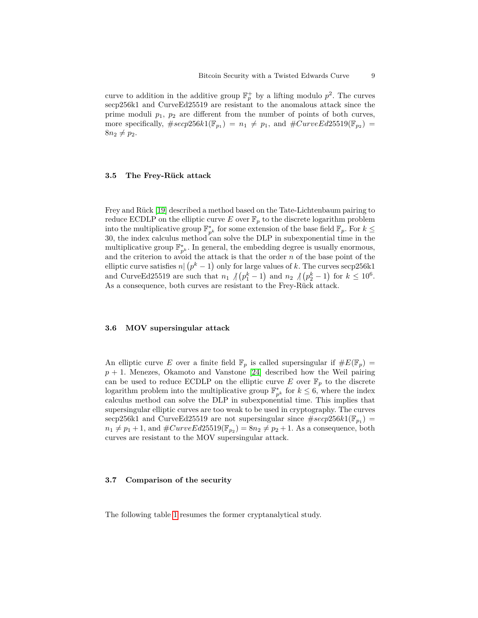curve to addition in the additive group  $\mathbb{F}_p^+$  by a lifting modulo  $p^2$ . The curves secp256k1 and CurveEd25519 are resistant to the anomalous attack since the prime moduli *p*1, *p*<sup>2</sup> are different from the number of points of both curves, more specifically,  $\# \text{seep256k1}(\mathbb{F}_{p_1}) = n_1 \neq p_1$ , and  $\# \text{CurveEd25519}(\mathbb{F}_{p_2}) =$  $8n_2 \neq p_2$ .

#### **3.5 The Frey-Rück attack**

Frey and Rück [19] described a method based on the Tate-Lichtenbaum pairing to reduce ECDLP on the elliptic curve  $E$  over  $\mathbb{F}_p$  to the discrete logarithm problem into the multiplicative group  $\mathbb{F}_{p^k}^*$  for some extension of the base field  $\mathbb{F}_p$ . For  $k \leq$ 30, the index calculus method can solve the DLP in subexponential time in the multiplicative group  $\mathbb{F}_{p^k}^*$ . In general, the embedding degree is usually enormous, and the criterion to avoid the attack is that the order *n* of the base point of the elliptic curve satisfies  $n | (p<sup>k</sup> - 1)$  only for large values of *k*. The curves secp256k1 and CurveEd25519 are such that  $n_1 \text{ } / \text{ }(p_1^k-1)$  and  $n_2 \text{ } / \text{ }(p_2^k-1)$  for  $k \leq 10^6$ . As a consequence, both curves are resistant to the Frey-Rück attack.

#### **3.6 MOV supersingular attack**

An elliptic curve *E* over a finite field  $\mathbb{F}_p$  is called supersingular if  $\#E(\mathbb{F}_p)$  =  $p + 1$ . Menezes, Okamoto and Vanstone [24] described how the Weil pairing can be used to reduce ECDLP on the elliptic curve  $E$  over  $\mathbb{F}_p$  to the discrete logarithm problem into the multiplicative group  $\mathbb{F}_{p^k}^*$  for  $k \leq 6$ , where the index calculus method can solve the DLP in subexponential time. This implies that supersingular elliptic curves are too weak to be used in cryptography. The curves secp256k1 and CurveEd25519 are not supersingular since  $\# \text{secp256k1}(\mathbb{F}_{p_1}) =$  $n_1 \neq p_1 + 1$ , and  $\#CurveEd25519(\mathbb{F}_{p_2}) = 8n_2 \neq p_2 + 1$ . As a consequence, both curves are resistant to the MOV supersingular attack.

#### **3.7 Comparison of the security**

The following table 1 resumes the former cryptanalytical study.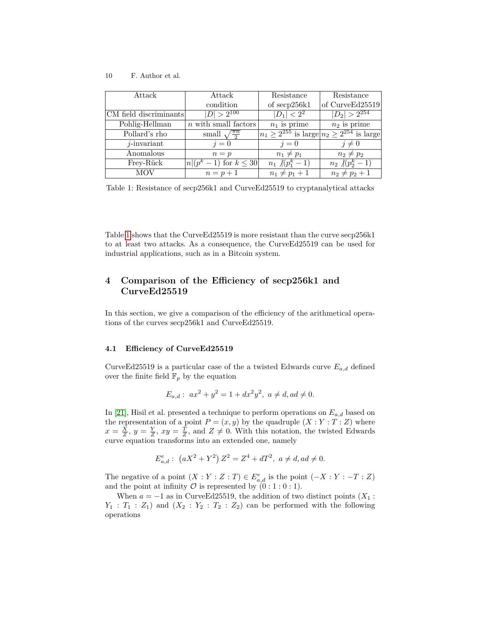| Attack                 | Attack                                     | Resistance                                              | Resistance              |
|------------------------|--------------------------------------------|---------------------------------------------------------|-------------------------|
|                        | condition                                  | of secp256k1                                            | of CurveEd25519         |
| CM field discriminants | $ D  > 2^{100}$                            | $ D_1  < 2^2$                                           | $ D_2  > 2^{254}$       |
| Pohlig-Hellman         | $n$ with small factors                     | $n_1$ is prime                                          | $n_2$ is prime          |
| Pollard's rho          | small $\sqrt{\frac{\pi n}{2}}$             | $n_1 \geq 2^{255}$ is large $n_2 \geq 2^{254}$ is large |                         |
| $j$ -invariant         | $i=0$                                      | $i=0$                                                   | $i \neq 0$              |
| Anomalous              | $n = p$                                    | $n_1 \neq p_1$                                          | $n_2 \neq p_2$          |
| Frey-Rück              | $-1$ ) for $k \leq 30$<br>$n (p^{\kappa})$ | $n_1 \sqrt{(p_1^k-1)}$                                  | $n_2 \sqrt[p]{p_2^k-1}$ |
| MOV                    | $n=p+1$                                    | $n_1 \neq p_1 + 1$                                      | $n_2 \neq p_2 + 1$      |

Table 1: Resistance of secp256k1 and CurveEd25519 to cryptanalytical attacks

Table 1 shows that the CurveEd25519 is more resistant than the curve secp256k1 to at least two attacks. As a consequence, the CurveEd25519 can be used for industrial applications, such as in a Bitcoin system.

## **4 Comparison of the Efficiency of secp256k1 and CurveEd25519**

In this section, we give a comparison of the efficiency of the arithmetical operations of the curves secp256k1 and CurveEd25519.

#### **4.1 Efficiency of CurveEd25519**

CurveEd25519 is a particular case of the a twisted Edwards curve  $E_{a,d}$  defined over the finite field  $\mathbb{F}_p$  by the equation

$$
E_{a,d}: ax2 + y2 = 1 + dx2y2, a \neq d, ad \neq 0.
$$

In [21], Hisil et al. presented a technique to perform operations on *Ea,d* based on the representation of a point  $P = (x, y)$  by the quadruple  $(X : Y : T : Z)$  where  $x = \frac{X}{Z}$ ,  $y = \frac{Y}{Z}$ ,  $xy = \frac{T}{Z}$ , and  $Z \neq 0$ . With this notation, the twisted Edwards curve equation transforms into an extended one, namely

$$
E_{a,d}^e: (aX^2 + Y^2) Z^2 = Z^4 + dT^2, a \neq d, ad \neq 0.
$$

The negative of a point  $(X:Y:Z:T) \in E^e_{a,d}$  is the point  $(-X:Y:-T:Z)$ and the point at infinity  $\mathcal O$  is represented by  $(0:1:0:1)$ .

When  $a = -1$  as in CurveEd25519, the addition of two distinct points ( $X_1$ :  $Y_1$ :  $T_1$ :  $Z_1$ ) and  $(X_2: Y_2: T_2: Z_2)$  can be performed with the following operations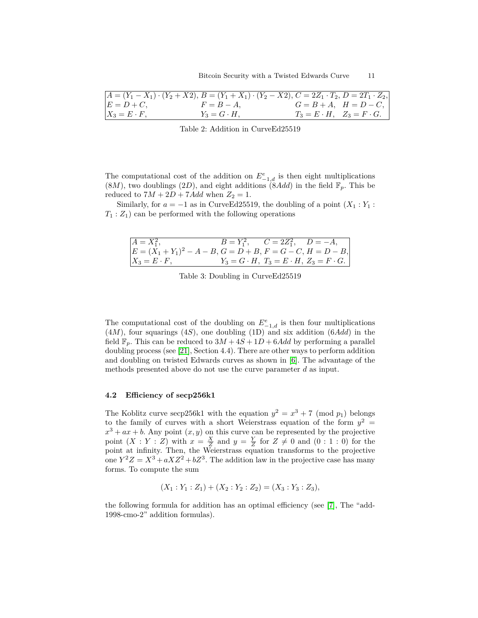|                     | $A = (Y_1 - X_1) \cdot (Y_2 + X_2), B = (Y_1 + X_1) \cdot (Y_2 - X_2), C = 2Z_1 \cdot T_2, D = 2T_1 \cdot Z_2,$ |                                         |                             |
|---------------------|-----------------------------------------------------------------------------------------------------------------|-----------------------------------------|-----------------------------|
| $E = D + C$         | $F = B - A$                                                                                                     |                                         | $G = B + A$ , $H = D - C$ , |
| $X_3 = E \cdot F$ , | $Y_3 = G \cdot H$ ,                                                                                             | $T_3 = E \cdot H$ , $Z_3 = F \cdot G$ . |                             |

Table 2: Addition in CurveEd25519

The computational cost of the addition on  $E^{e}_{-1,d}$  is then eight multiplications  $(8M)$ , two doublings  $(2D)$ , and eight additions  $(8Add)$  in the field  $\mathbb{F}_p$ . This be reduced to  $7M + 2D + 7Add$  when  $Z_2 = 1$ .

Similarly, for  $a = -1$  as in CurveEd25519, the doubling of a point  $(X_1 : Y_1 : Y_2)$  $T_1: Z_1$  can be performed with the following operations

| $A = X_1^2,$                                                   |  | $B = Y_1^2$ , $C = 2Z_1^2$ , $D = -A$ ,                     |
|----------------------------------------------------------------|--|-------------------------------------------------------------|
| $ E = (X_1 + Y_1)^2 - A - B, G = D + B, F = G - C, H = D - B,$ |  |                                                             |
| $X_3 = E \cdot F,$                                             |  | $Y_3 = G \cdot H$ , $T_3 = E \cdot H$ , $Z_3 = F \cdot G$ . |

Table 3: Doubling in CurveEd25519

The computational cost of the doubling on  $E^e_{-1,d}$  is then four multiplications (4*M*), four squarings (4*S*), one doubling (1D) and six addition (6*Add*) in the field  $\mathbb{F}_p$ . This can be reduced to  $3M + 4S + 1D + 6Add$  by performing a parallel doubling process (see [21], Section 4.4). There are other ways to perform addition and doubling on twisted Edwards curves as shown in [6]. The advantage of the methods presented above do not use the curve parameter *d* as input.

#### **4.2 Efficiency of secp256k1**

The Koblitz curve secp256k1 with the equation  $y^2 = x^3 + 7 \pmod{p_1}$  belongs to the family of curves with a short Weierstrass equation of the form  $y^2 =$  $x^3 + ax + b$ . Any point  $(x, y)$  on this curve can be represented by the projective point  $(X:Y:Z)$  with  $x = \frac{X}{Z}$  and  $y = \frac{Y}{Z}$  for  $Z \neq 0$  and  $(0:1:0)$  for the point at infinity. Then, the Weierstrass equation transforms to the projective one  $Y^2Z = X^3 + aXZ^2 + bZ^3$ . The addition law in the projective case has many forms. To compute the sum

$$
(X_1:Y_1:Z_1) + (X_2:Y_2:Z_2) = (X_3:Y_3:Z_3),
$$

the following formula for addition has an optimal efficiency (see [7], The "add-1998-cmo-2" addition formulas).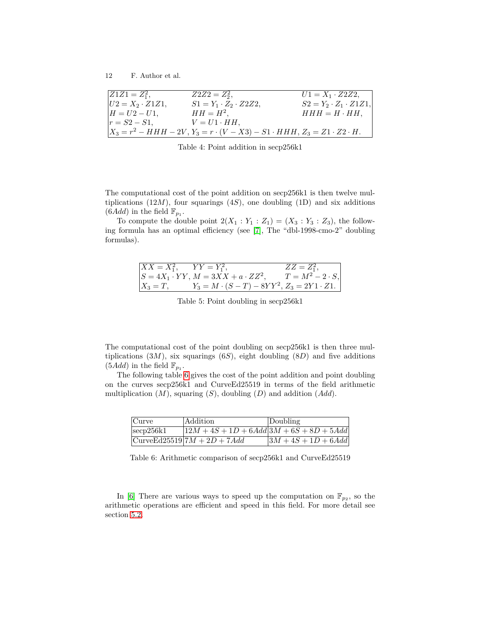| $ Z1Z1 = Z_1^2,$        | $Z2Z2 = Z_2^2$ ,                                                                                 | $U1 = X_1 \cdot Z2Z2$ ,            |
|-------------------------|--------------------------------------------------------------------------------------------------|------------------------------------|
| $ U2 = X_2 \cdot Z1Z1,$ | $S1 = Y_1 \cdot Z_2 \cdot Z_2 Z_2$                                                               | $S2 = Y_2 \cdot Z_1 \cdot Z_1 Z_1$ |
| $H = U^2 - U^1$ ,       | $HH = H^2$ ,                                                                                     | $HHH = H \cdot HH$ ,               |
| $ r = S2 - S1$ ,        | $V = U1 \cdot HH$ .                                                                              |                                    |
|                         | $X_3 = r^2 - HHH - 2V$ , $Y_3 = r \cdot (V - X3) - S1 \cdot HHH$ , $Z_3 = Z1 \cdot Z2 \cdot H$ . |                                    |

Table 4: Point addition in secp256k1

The computational cost of the point addition on secp256k1 is then twelve multiplications  $(12M)$ , four squarings  $(4S)$ , one doubling  $(1D)$  and six additions  $(6Add)$  in the field  $\mathbb{F}_{p_1}$ .

To compute the double point  $2(X_1 : Y_1 : Z_1) = (X_3 : Y_3 : Z_3)$ , the following formula has an optimal efficiency (see [7], The "dbl-1998-cmo-2" doubling formulas).

| $XX = X_1^2$ , $YY = Y_1^2$ , |                                                      | $ZZ=Z_1^2$ ,           |
|-------------------------------|------------------------------------------------------|------------------------|
|                               | $S = 4X_1 \cdot YY$ , $M = 3XX + a \cdot ZZ^2$ ,     | $T = M^2 - 2 \cdot S,$ |
| $X_3=T,$                      | $Y_3 = M \cdot (S - T) - 8YY^2, Z_3 = 2Y1 \cdot Z1.$ |                        |

Table 5: Point doubling in secp256k1

The computational cost of the point doubling on secp256k1 is then three multiplications  $(3M)$ , six squarings  $(6S)$ , eight doubling  $(8D)$  and five additions  $(5Add)$  in the field  $\mathbb{F}_{p_1}$ .

The following table 6 gives the cost of the point addition and point doubling on the curves secp256k1 and CurveEd25519 in terms of the field arithmetic multiplication (*M*), squaring (*S*), doubling (*D*) and addition (*Add*).

| Curve        | Addition                                      | Doubling               |
|--------------|-----------------------------------------------|------------------------|
| $\sec 256k1$ | $12M + 4S + 1D + 6Add \, 3M + 6S + 8D + 5Add$ |                        |
|              | $Curve Ed25519 7M + 2D + 7Add$                | $ 3M + 4S + 1D + 6Add$ |

Table 6: Arithmetic comparison of secp256k1 and CurveEd25519

In [6] There are various ways to speed up the computation on  $\mathbb{F}_{p_2}$ , so the arithmetic operations are efficient and speed in this field. For more detail see section 5.2.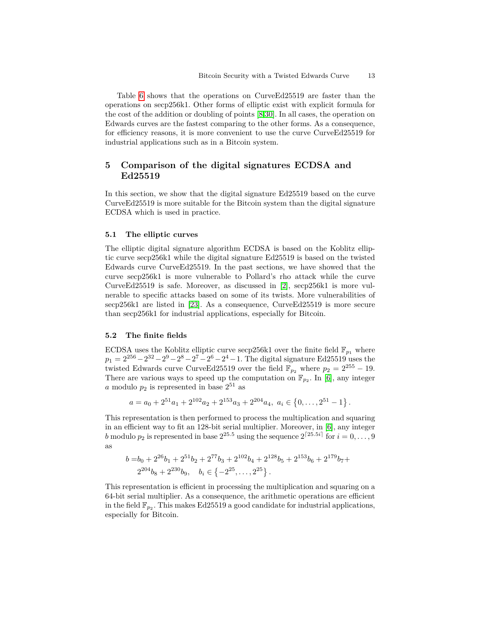Table 6 shows that the operations on CurveEd25519 are faster than the operations on secp256k1. Other forms of elliptic exist with explicit formula for the cost of the addition or doubling of points [8,30]. In all cases, the operation on Edwards curves are the fastest comparing to the other forms. As a consequence, for efficiency reasons, it is more convenient to use the curve CurveEd25519 for industrial applications such as in a Bitcoin system.

## **5 Comparison of the digital signatures ECDSA and Ed25519**

In this section, we show that the digital signature Ed25519 based on the curve CurveEd25519 is more suitable for the Bitcoin system than the digital signature ECDSA which is used in practice.

#### **5.1 The elliptic curves**

The elliptic digital signature algorithm ECDSA is based on the Koblitz elliptic curve secp256k1 while the digital signature Ed25519 is based on the twisted Edwards curve CurveEd25519. In the past sections, we have showed that the curve secp256k1 is more vulnerable to Pollard's rho attack while the curve CurveEd25519 is safe. Moreover, as discussed in [2], secp256k1 is more vulnerable to specific attacks based on some of its twists. More vulnerabilities of secp256k1 are listed in [23]. As a consequence, CurveEd25519 is more secure than secp256k1 for industrial applications, especially for Bitcoin.

#### **5.2 The finite fields**

ECDSA uses the Koblitz elliptic curve secp256k1 over the finite field  $\mathbb{F}_{p_1}$  where  $p_1 = 2^{256} - 2^{32} - 2^9 - 2^8 - 2^7 - 2^6 - 2^4 - 1$ . The digital signature Ed25519 uses the twisted Edwards curve CurveEd25519 over the field  $\mathbb{F}_{p_2}$  where  $p_2 = 2^{255} - 19$ . There are various ways to speed up the computation on  $\mathbb{F}_{p_2}$ . In [6], any integer *a* modulo  $p_2$  is represented in base  $2^{51}$  as

$$
a = a_0 + 2^{51}a_1 + 2^{102}a_2 + 2^{153}a_3 + 2^{204}a_4, \ a_i \in \{0, \ldots, 2^{51} - 1\}.
$$

This representation is then performed to process the multiplication and squaring in an efficient way to fit an 128-bit serial multiplier. Moreover, in [6], any integer *b* modulo  $p_2$  is represented in base  $2^{25.5}$  using the sequence  $2^{[25.5i]}$  for  $i = 0, \ldots, 9$ as

$$
b = b_0 + 2^{26}b_1 + 2^{51}b_2 + 2^{77}b_3 + 2^{102}b_4 + 2^{128}b_5 + 2^{153}b_6 + 2^{179}b_7 + 2^{204}b_8 + 2^{230}b_9, \quad b_i \in \{-2^{25}, \dots, 2^{25}\}.
$$

This representation is efficient in processing the multiplication and squaring on a 64-bit serial multiplier. As a consequence, the arithmetic operations are efficient in the field  $\mathbb{F}_{p_2}$ . This makes Ed25519 a good candidate for industrial applications, especially for Bitcoin.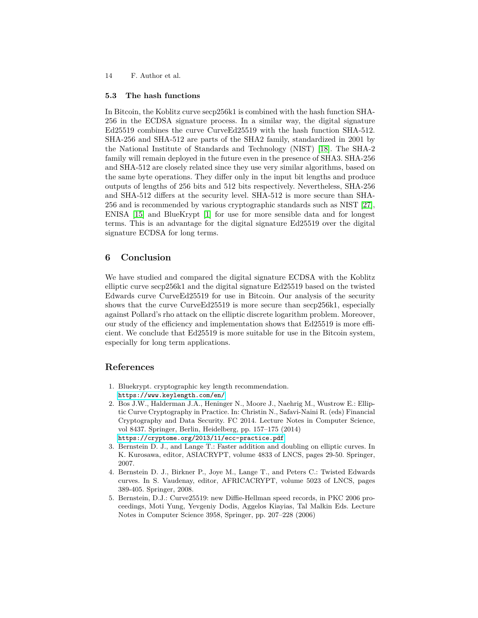#### **5.3 The hash functions**

In Bitcoin, the Koblitz curve secp256k1 is combined with the hash function SHA-256 in the ECDSA signature process. In a similar way, the digital signature Ed25519 combines the curve CurveEd25519 with the hash function SHA-512. SHA-256 and SHA-512 are parts of the SHA2 family, standardized in 2001 by the National Institute of Standards and Technology (NIST) [18]. The SHA-2 family will remain deployed in the future even in the presence of SHA3. SHA-256 and SHA-512 are closely related since they use very similar algorithms, based on the same byte operations. They differ only in the input bit lengths and produce outputs of lengths of 256 bits and 512 bits respectively. Nevertheless, SHA-256 and SHA-512 differs at the security level. SHA-512 is more secure than SHA-256 and is recommended by various cryptographic standards such as NIST [27], ENISA [15] and BlueKrypt [1] for use for more sensible data and for longest terms. This is an advantage for the digital signature Ed25519 over the digital signature ECDSA for long terms.

### **6 Conclusion**

We have studied and compared the digital signature ECDSA with the Koblitz elliptic curve secp256k1 and the digital signature Ed25519 based on the twisted Edwards curve CurveEd25519 for use in Bitcoin. Our analysis of the security shows that the curve CurveEd25519 is more secure than secp256k1, especially against Pollard's rho attack on the elliptic discrete logarithm problem. Moreover, our study of the efficiency and implementation shows that Ed25519 is more efficient. We conclude that Ed25519 is more suitable for use in the Bitcoin system, especially for long term applications.

#### **References**

- 1. Bluekrypt. cryptographic key length recommendation. <https://www.keylength.com/en/>
- 2. Bos J.W., Halderman J.A., Heninger N., Moore J., Naehrig M., Wustrow E.: Elliptic Curve Cryptography in Practice. In: Christin N., Safavi-Naini R. (eds) Financial Cryptography and Data Security. FC 2014. Lecture Notes in Computer Science, vol 8437. Springer, Berlin, Heidelberg, pp. 157–175 (2014) <https://cryptome.org/2013/11/ecc-practice.pdf>
- 3. Bernstein D. J., and Lange T.: Faster addition and doubling on elliptic curves. In K. Kurosawa, editor, ASIACRYPT, volume 4833 of LNCS, pages 29-50. Springer, 2007.
- 4. Bernstein D. J., Birkner P., Joye M., Lange T., and Peters C.: Twisted Edwards curves. In S. Vaudenay, editor, AFRICACRYPT, volume 5023 of LNCS, pages 389-405. Springer, 2008.
- 5. Bernstein, D.J.: Curve25519: new Diffie-Hellman speed records, in PKC 2006 proceedings, Moti Yung, Yevgeniy Dodis, Aggelos Kiayias, Tal Malkin Eds. Lecture Notes in Computer Science 3958, Springer, pp. 207–228 (2006)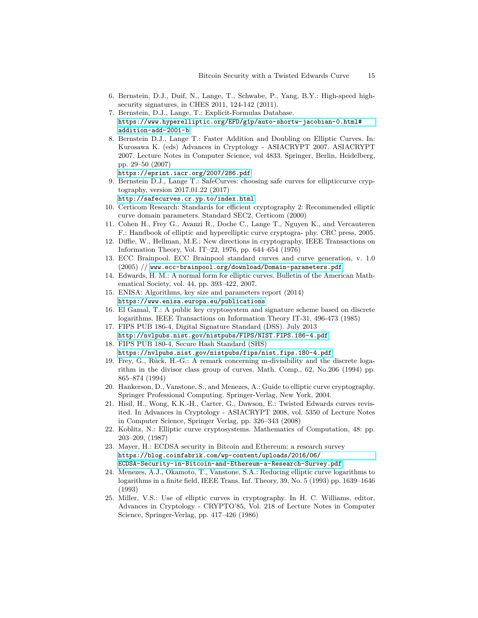- 6. Bernstein, D.J., Duif, N., Lange, T., Schwabe, P., Yang, B.Y.: High-speed highsecurity signatures, in CHES 2011, 124-142 (2011).
- 7. Bernstein, D.J., Lange, T.: Explicit-Formulas Database. [https://www.hyperelliptic.org/EFD/g1p/auto-shortw-jacobian-0.html#](https://www.hyperelliptic.org/EFD/g1p/auto-shortw-jacobian-0.html#addition-add-2001-b) [addition-add-2001-b](https://www.hyperelliptic.org/EFD/g1p/auto-shortw-jacobian-0.html#addition-add-2001-b)
- 8. Bernstein D.J., Lange T.: Faster Addition and Doubling on Elliptic Curves. In: Kurosawa K. (eds) Advances in Cryptology - ASIACRYPT 2007. ASIACRYPT 2007. Lecture Notes in Computer Science, vol 4833. Springer, Berlin, Heidelberg, pp. 29–50 (2007)
	- <https://eprint.iacr.org/2007/286.pdf>
- 9. Bernstein D.J., Lange T.: SafeCurves: choosing safe curves for ellipticcurve cryptography, version 2017.01.22 (2017)

<http://safecurves.cr.yp.to/index.html>

- 10. Certicom Research: Standards for efficient cryptography 2: Recommended elliptic curve domain parameters. Standard SEC2, Certicom (2000)
- 11. Cohen H., Frey G., Avanzi R., Doche C., Lange T., Nguyen K., and Vercauteren F.: Handbook of elliptic and hyperelliptic curve cryptogra- phy. CRC press, 2005.
- 12. Diffie, W., Hellman, M.E.: New directions in cryptography, IEEE Transactions on Information Theory, Vol. IT–22, 1976, pp. 644–654 (1976)
- 13. ECC Brainpool. ECC Brainpool standard curves and curve generation, v. 1.0 (2005) // <www.ecc-brainpool.org/download/Domain-parameters.pdf>
- 14. Edwards, H. M.: A normal form for elliptic curves. Bulletin of the American Mathematical Society, vol. 44, pp. 393–422, 2007.
- 15. ENISA: Algorithms, key size and parameters report (2014) <https://www.enisa.europa.eu/publications>
- 16. El Gamal, T.: A public key cryptosystem and signature scheme based on discrete logarithms. IEEE Transactions on Information Theory IT-31, 496-473 (1985)
- 17. FIPS PUB 186-4, Digital Signature Standard (DSS). July 2013 <http://nvlpubs.nist.gov/nistpubs/FIPS/NIST.FIPS.186-4.pdf>
- 18. FIPS PUB 180-4, Secure Hash Standard (SHS) <https://nvlpubs.nist.gov/nistpubs/fips/nist.fips.180-4.pdf>
- 19. Frey, G., Rück, H.-G.: A remark concerning m-divisibility and the discrete logarithm in the divisor class group of curves, Math. Comp., 62, No.206 (1994) pp. 865–874 (1994)
- 20. Hankerson, D., Vanstone, S., and Menezes, A.: Guide to elliptic curve cryptography. Springer Professional Computing. Springer-Verlag, New York, 2004.
- 21. Hisil, H., Wong, K.K.-H., Carter, G., Dawson, E.: Twisted Edwards curves revisited. In Advances in Cryptology - ASIACRYPT 2008, vol. 5350 of Lecture Notes in Computer Science, Springer Verlag, pp. 326–343 (2008)
- 22. Koblitz, N.: Elliptic curve cryptosystems. Mathematics of Computation, 48: pp. 203–209, (1987)
- 23. Mayer, H.: ECDSA security in Bitcoin and Ethereum: a research survey [https://blog.coinfabrik.com/wp-content/uploads/2016/06/](https://blog.coinfabrik.com/wp-content/uploads/2016/06/ECDSA-Security-in-Bitcoin-and-Ethereum-a-Research-Survey.pdf) [ECDSA-Security-in-Bitcoin-and-Ethereum-a-Research-Survey.pdf](https://blog.coinfabrik.com/wp-content/uploads/2016/06/ECDSA-Security-in-Bitcoin-and-Ethereum-a-Research-Survey.pdf)
- 24. Menezes, A.J., Okamoto, T., Vanstone, S.A.: Reducing elliptic curve logarithms to logarithms in a finite field, IEEE Trans. Inf. Theory, 39, No. 5 (1993) pp. 1639–1646 (1993)
- 25. Miller, V.S.: Use of elliptic curves in cryptography. In H. C. Williams, editor, Advances in Cryptology - CRYPTO'85, Vol. 218 of Lecture Notes in Computer Science, Springer-Verlag, pp. 417–426 (1986)